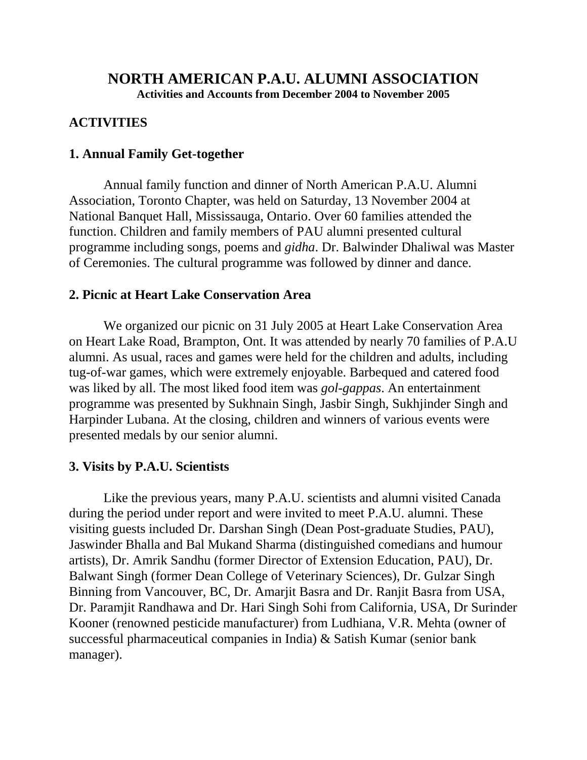# **NORTH AMERICAN P.A.U. ALUMNI ASSOCIATION**

**Activities and Accounts from December 2004 to November 2005**

## **ACTIVITIES**

#### **1. Annual Family Get-together**

Annual family function and dinner of North American P.A.U. Alumni Association, Toronto Chapter, was held on Saturday, 13 November 2004 at National Banquet Hall, Mississauga, Ontario. Over 60 families attended the function. Children and family members of PAU alumni presented cultural programme including songs, poems and *gidha*. Dr. Balwinder Dhaliwal was Master of Ceremonies. The cultural programme was followed by dinner and dance.

## **2. Picnic at Heart Lake Conservation Area**

We organized our picnic on 31 July 2005 at Heart Lake Conservation Area on Heart Lake Road, Brampton, Ont. It was attended by nearly 70 families of P.A.U alumni. As usual, races and games were held for the children and adults, including tug-of-war games, which were extremely enjoyable. Barbequed and catered food was liked by all. The most liked food item was *gol-gappas*. An entertainment programme was presented by Sukhnain Singh, Jasbir Singh, Sukhjinder Singh and Harpinder Lubana. At the closing, children and winners of various events were presented medals by our senior alumni.

#### **3. Visits by P.A.U. Scientists**

Like the previous years, many P.A.U. scientists and alumni visited Canada during the period under report and were invited to meet P.A.U. alumni. These visiting guests included Dr. Darshan Singh (Dean Post-graduate Studies, PAU), Jaswinder Bhalla and Bal Mukand Sharma (distinguished comedians and humour artists), Dr. Amrik Sandhu (former Director of Extension Education, PAU), Dr. Balwant Singh (former Dean College of Veterinary Sciences), Dr. Gulzar Singh Binning from Vancouver, BC, Dr. Amarjit Basra and Dr. Ranjit Basra from USA, Dr. Paramjit Randhawa and Dr. Hari Singh Sohi from California, USA, Dr Surinder Kooner (renowned pesticide manufacturer) from Ludhiana, V.R. Mehta (owner of successful pharmaceutical companies in India) & Satish Kumar (senior bank manager).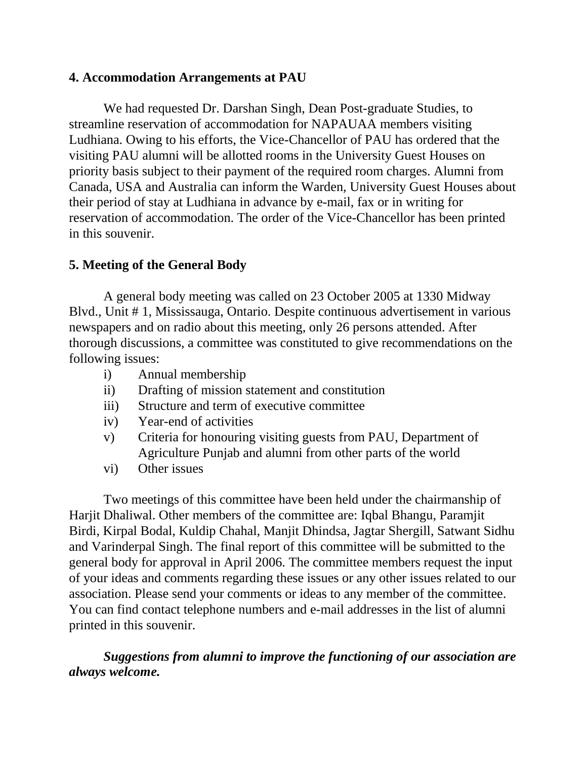#### **4. Accommodation Arrangements at PAU**

We had requested Dr. Darshan Singh, Dean Post-graduate Studies, to streamline reservation of accommodation for NAPAUAA members visiting Ludhiana. Owing to his efforts, the Vice-Chancellor of PAU has ordered that the visiting PAU alumni will be allotted rooms in the University Guest Houses on priority basis subject to their payment of the required room charges. Alumni from Canada, USA and Australia can inform the Warden, University Guest Houses about their period of stay at Ludhiana in advance by e-mail, fax or in writing for reservation of accommodation. The order of the Vice-Chancellor has been printed in this souvenir.

## **5. Meeting of the General Body**

A general body meeting was called on 23 October 2005 at 1330 Midway Blvd., Unit # 1, Mississauga, Ontario. Despite continuous advertisement in various newspapers and on radio about this meeting, only 26 persons attended. After thorough discussions, a committee was constituted to give recommendations on the following issues:

- i) Annual membership
- ii) Drafting of mission statement and constitution
- iii) Structure and term of executive committee
- iv) Year-end of activities
- v) Criteria for honouring visiting guests from PAU, Department of Agriculture Punjab and alumni from other parts of the world
- vi) Other issues

Two meetings of this committee have been held under the chairmanship of Harjit Dhaliwal. Other members of the committee are: Iqbal Bhangu, Paramjit Birdi, Kirpal Bodal, Kuldip Chahal, Manjit Dhindsa, Jagtar Shergill, Satwant Sidhu and Varinderpal Singh. The final report of this committee will be submitted to the general body for approval in April 2006. The committee members request the input of your ideas and comments regarding these issues or any other issues related to our association. Please send your comments or ideas to any member of the committee. You can find contact telephone numbers and e-mail addresses in the list of alumni printed in this souvenir.

*Suggestions from alumni to improve the functioning of our association are always welcome.*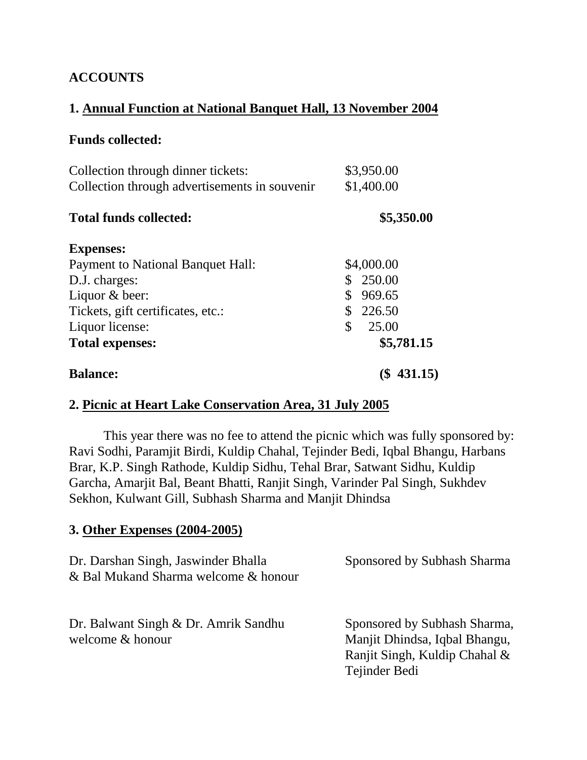# **ACCOUNTS**

## **1. Annual Function at National Banquet Hall, 13 November 2004**

## **Funds collected:**

| Collection through dinner tickets:<br>Collection through advertisements in souvenir | \$3,950.00<br>\$1,400.00 |
|-------------------------------------------------------------------------------------|--------------------------|
| <b>Total funds collected:</b>                                                       | \$5,350.00               |
| <b>Expenses:</b>                                                                    |                          |
| Payment to National Banquet Hall:                                                   | \$4,000.00               |
| D.J. charges:                                                                       | 250.00                   |
| Liquor & beer:                                                                      | 969.65                   |
| Tickets, gift certificates, etc.:                                                   | 226.50                   |
| Liquor license:                                                                     | \$<br>25.00              |
| <b>Total expenses:</b>                                                              | \$5,781.15               |
| <b>Balance:</b>                                                                     | 431.15)                  |

## **2. Picnic at Heart Lake Conservation Area, 31 July 2005**

This year there was no fee to attend the picnic which was fully sponsored by: Ravi Sodhi, Paramjit Birdi, Kuldip Chahal, Tejinder Bedi, Iqbal Bhangu, Harbans Brar, K.P. Singh Rathode, Kuldip Sidhu, Tehal Brar, Satwant Sidhu, Kuldip Garcha, Amarjit Bal, Beant Bhatti, Ranjit Singh, Varinder Pal Singh, Sukhdev Sekhon, Kulwant Gill, Subhash Sharma and Manjit Dhindsa

#### **3. Other Expenses (2004-2005)**

| Dr. Darshan Singh, Jaswinder Bhalla<br>& Bal Mukand Sharma welcome & honour | Sponsored by Subhash Sharma                                                                                     |
|-----------------------------------------------------------------------------|-----------------------------------------------------------------------------------------------------------------|
| Dr. Balwant Singh & Dr. Amrik Sandhu<br>welcome & honour                    | Sponsored by Subhash Sharma,<br>Manjit Dhindsa, Iqbal Bhangu,<br>Ranjit Singh, Kuldip Chahal &<br>Tejinder Bedi |